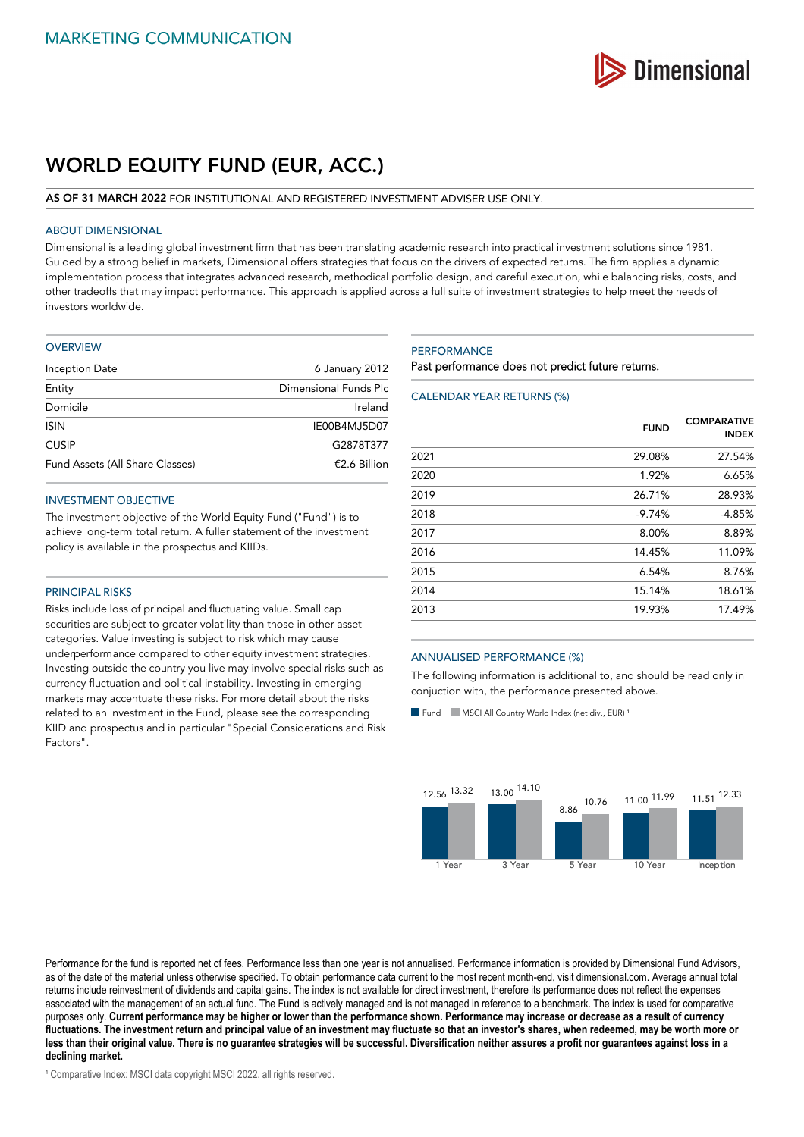

# **WORLD EQUITY FUND (EUR, ACC.)**

#### **AS OF 31 MARCH 2022** FOR INSTITUTIONAL AND REGISTERED INVESTMENT ADVISER USE ONLY.

#### ABOUT DIMENSIONAL

Dimensional is a leading global investment firm that has been translating academic research into practical investment solutions since 1981. Guided by a strong belief in markets, Dimensional offers strategies that focus on the drivers of expected returns. The firm applies a dynamic implementation process that integrates advanced research, methodical portfolio design, and careful execution, while balancing risks, costs, and other tradeoffs that may impact performance. This approach is applied across a full suite of investment strategies to help meet the needs of investors worldwide.

#### **OVERVIEW**

| Inception Date                  | 6 January 2012        |
|---------------------------------|-----------------------|
| Entity                          | Dimensional Funds Plc |
| Domicile                        | Ireland               |
| <b>ISIN</b>                     | IE00B4MJ5D07          |
| <b>CUSIP</b>                    | G2878T377             |
| Fund Assets (All Share Classes) | €2.6 Billion          |

#### INVESTMENT OBJECTIVE

The investment objective of the World Equity Fund ("Fund") is to achieve long-term total return. A fuller statement of the investment policy is available in the prospectus and KIIDs.

#### PRINCIPAL RISKS

Risks include loss of principal and fluctuating value. Small cap securities are subject to greater volatility than those in other asset categories. Value investing is subject to risk which may cause underperformance compared to other equity investment strategies. Investing outside the country you live may involve special risks such as currency fluctuation and political instability. Investing in emerging markets may accentuate these risks. For more detail about the risks related to an investment in the Fund, please see the corresponding KIID and prospectus and in particular "Special Considerations and Risk Factors".

#### **PERFORMANCE**

Past performance does not predict future returns.

#### CALENDAR YEAR RETURNS (%)

|      | <b>FUND</b> | <b>COMPARATIVE</b><br><b>INDEX</b> |
|------|-------------|------------------------------------|
| 2021 | 29.08%      | 27.54%                             |
| 2020 | 1.92%       | 6.65%                              |
| 2019 | 26.71%      | 28.93%                             |
| 2018 | $-9.74%$    | $-4.85%$                           |
| 2017 | 8.00%       | 8.89%                              |
| 2016 | 14.45%      | 11.09%                             |
| 2015 | 6.54%       | 8.76%                              |
| 2014 | 15.14%      | 18.61%                             |
| 2013 | 19.93%      | 17.49%                             |
|      |             |                                    |

## ANNUALISED PERFORMANCE (%)

The following information is additional to, and should be read only in conjuction with, the performance presented above.

Fund MSCI All Country World Index (net div., EUR)



Performance for the fund is reported net of fees. Performance less than one year is not annualised. Performance information is provided by Dimensional Fund Advisors, as of the date of the material unless otherwise specified. To obtain performance data current to the most recent month-end, visit dimensional.com. Average annual total returns include reinvestment of dividends and capital gains. The index is not available for direct investment, therefore its performance does not reflect the expenses associated with the management of an actual fund. The Fund is actively managed and is not managed in reference to a benchmark. The index is used for comparative purposes only. **Current performance may be higher or lower than the performance shown. Performance may increase or decrease as a result of currency fluctuations. The investment return and principal value of an investment may fluctuate so that an investor's shares, when redeemed, may be worth more or less than their original value. There is no guarantee strategies will be successful. Diversification neither assures a profit nor guarantees against loss in a declining market.**

<sup>1</sup> Comparative Index: MSCI data copyright MSCI 2022, all rights reserved.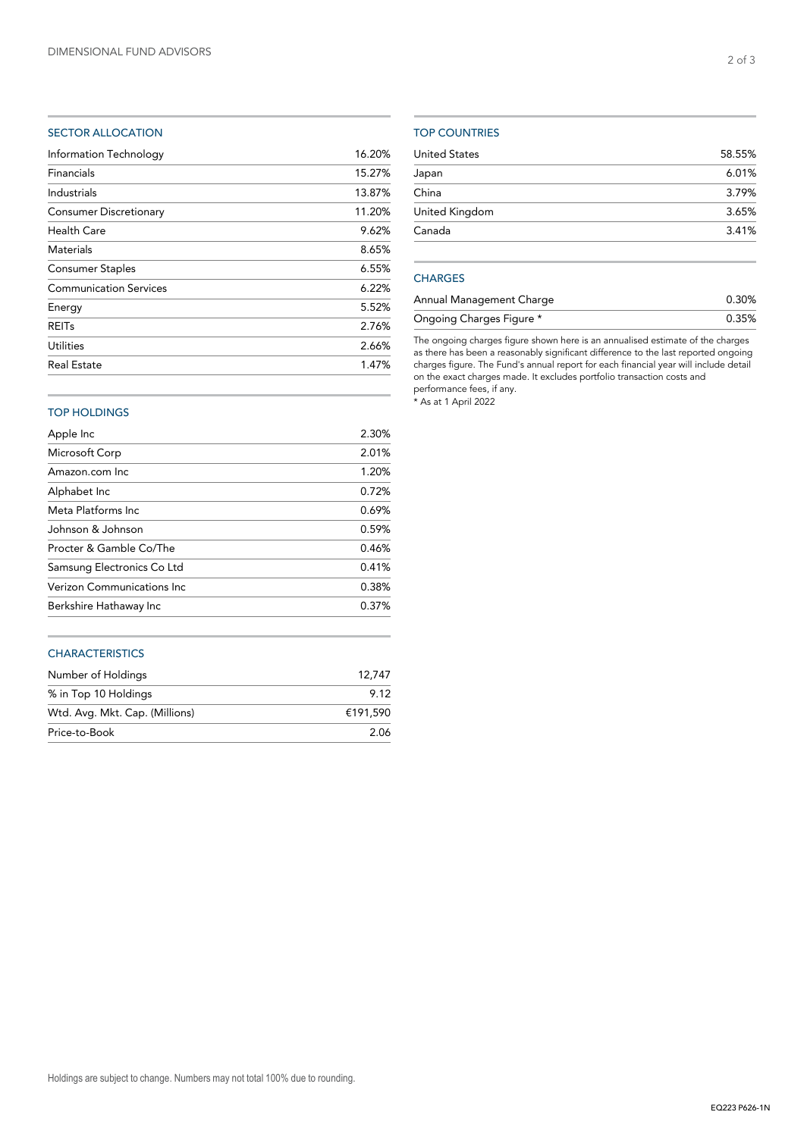#### SECTOR ALLOCATION

| 16.20% |
|--------|
| 15.27% |
| 13.87% |
| 11.20% |
| 9.62%  |
| 8.65%  |
| 6.55%  |
| 6.22%  |
| 5.52%  |
| 2.76%  |
| 2.66%  |
| 1.47%  |
|        |

## TOP COUNTRIES

| <b>United States</b> | 58.55% |
|----------------------|--------|
| Japan                | 6.01%  |
| China                | 3.79%  |
| United Kingdom       | 3.65%  |
| Canada               | 3.41%  |
|                      |        |

## **CHARGES**

| Annual Management Charge | 0.30% |
|--------------------------|-------|
| Ongoing Charges Figure * | 0.35% |

The ongoing charges figure shown here is an annualised estimate of the charges as there has been a reasonably significant difference to the last reported ongoing charges figure. The Fund's annual report for each financial year will include detail on the exact charges made. It excludes portfolio transaction costs and performance fees, if any.

\* As at 1 April 2022

# TOP HOLDINGS

| Apple Inc                         | 2.30% |
|-----------------------------------|-------|
| Microsoft Corp                    | 2.01% |
| Amazon.com Inc.                   | 1.20% |
| Alphabet Inc                      | 0.72% |
| Meta Platforms Inc.               | 0.69% |
| Johnson & Johnson                 | 0.59% |
| Procter & Gamble Co/The           | 0.46% |
| Samsung Electronics Co Ltd        | 0.41% |
| <b>Verizon Communications Inc</b> | 0.38% |
| Berkshire Hathaway Inc            | 0.37% |

## **CHARACTERISTICS**

| Number of Holdings             | 12.747   |
|--------------------------------|----------|
| % in Top 10 Holdings           | 9.12     |
| Wtd. Avg. Mkt. Cap. (Millions) | €191.590 |
| Price-to-Book                  | 2.06     |